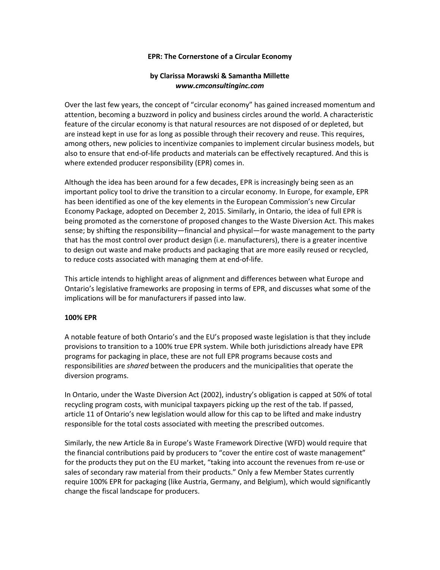## **EPR: The Cornerstone of a Circular Economy**

## **by Clarissa Morawski & Samantha Millette** *www.cmconsultinginc.com*

Over the last few years, the concept of "circular economy" has gained increased momentum and attention, becoming a buzzword in policy and business circles around the world. A characteristic feature of the circular economy is that natural resources are not disposed of or depleted, but are instead kept in use for as long as possible through their recovery and reuse. This requires, among others, new policies to incentivize companies to implement circular business models, but also to ensure that end-of-life products and materials can be effectively recaptured. And this is where extended producer responsibility (EPR) comes in.

Although the idea has been around for a few decades, EPR is increasingly being seen as an important policy tool to drive the transition to a circular economy. In Europe, for example, EPR has been identified as one of the key elements in the European Commission's new Circular Economy Package, adopted on December 2, 2015. Similarly, in Ontario, the idea of full EPR is being promoted as the cornerstone of proposed changes to the Waste Diversion Act. This makes sense; by shifting the responsibility—financial and physical—for waste management to the party that has the most control over product design (i.e. manufacturers), there is a greater incentive to design out waste and make products and packaging that are more easily reused or recycled, to reduce costs associated with managing them at end-of-life.

This article intends to highlight areas of alignment and differences between what Europe and Ontario's legislative frameworks are proposing in terms of EPR, and discusses what some of the implications will be for manufacturers if passed into law.

## **100% EPR**

A notable feature of both Ontario's and the EU's proposed waste legislation is that they include provisions to transition to a 100% true EPR system. While both jurisdictions already have EPR programs for packaging in place, these are not full EPR programs because costs and responsibilities are *shared* between the producers and the municipalities that operate the diversion programs.

In Ontario, under the Waste Diversion Act (2002), industry's obligation is capped at 50% of total recycling program costs, with municipal taxpayers picking up the rest of the tab. If passed, article 11 of Ontario's new legislation would allow for this cap to be lifted and make industry responsible for the total costs associated with meeting the prescribed outcomes.

Similarly, the new Article 8a in Europe's Waste Framework Directive (WFD) would require that the financial contributions paid by producers to "cover the entire cost of waste management" for the products they put on the EU market, "taking into account the revenues from re-use or sales of secondary raw material from their products." Only a few Member States currently require 100% EPR for packaging (like Austria, Germany, and Belgium), which would significantly change the fiscal landscape for producers.